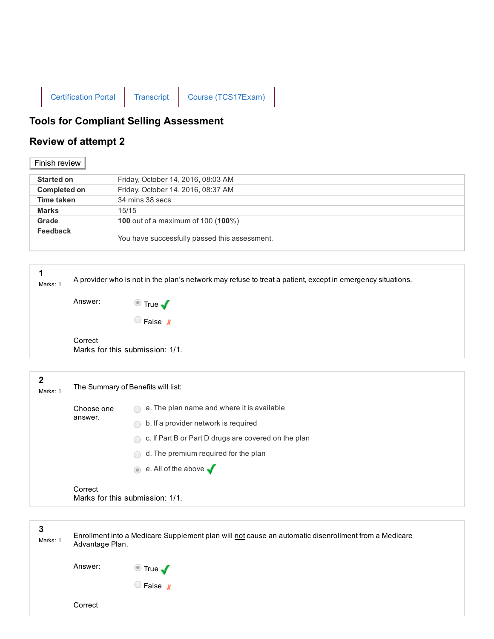

## Tools for Compliant Selling Assessment

## Review of attempt 2

## Finish review |

| <b>Started on</b>   | Friday, October 14, 2016, 08:03 AM                 |
|---------------------|----------------------------------------------------|
| <b>Completed on</b> | Friday, October 14, 2016, 08:37 AM                 |
| Time taken          | 34 mins 38 secs                                    |
| <b>Marks</b>        | 15/15                                              |
| Grade               | <b>100</b> out of a maximum of 100 ( <b>100</b> %) |
| Feedback            | You have successfully passed this assessment.      |

| 1<br>Marks: 1            | A provider who is not in the plan's network may refuse to treat a patient, except in emergency situations. |                                                     |  |  |
|--------------------------|------------------------------------------------------------------------------------------------------------|-----------------------------------------------------|--|--|
|                          | Answer:                                                                                                    |                                                     |  |  |
|                          |                                                                                                            | ■ True ✔                                            |  |  |
|                          | Correct                                                                                                    | Marks for this submission: 1/1.                     |  |  |
|                          |                                                                                                            |                                                     |  |  |
| $\mathbf{2}$<br>Marks: 1 | The Summary of Benefits will list:                                                                         |                                                     |  |  |
|                          | Choose one                                                                                                 | $\bigcap$ a The plan name and where it is available |  |  |

| <b>UILUUSE UITE</b><br>answer. | $\cdots$<br>a. The plan hanne and where it is available |                                                        |
|--------------------------------|---------------------------------------------------------|--------------------------------------------------------|
|                                |                                                         | b. If a provider network is required<br>$\bigcap$      |
|                                |                                                         | ◯ c. If Part B or Part D drugs are covered on the plan |
|                                |                                                         | $\bigcirc$ d. The premium required for the plan        |
|                                |                                                         | $\bullet$ e. All of the above $\bullet$                |
|                                | Correct                                                 | Marks for this submission: 1/1.                        |
|                                |                                                         |                                                        |

| 3<br>Marks: 1 | Enrollment into a Medicare Supplement plan will not cause an automatic disenrollment from a Medicare<br>Advantage Plan. |                                     |  |  |
|---------------|-------------------------------------------------------------------------------------------------------------------------|-------------------------------------|--|--|
|               | Answer:                                                                                                                 | $\bullet$ True $\blacktriangledown$ |  |  |
|               | Correct                                                                                                                 | $\Box$ False $\chi$                 |  |  |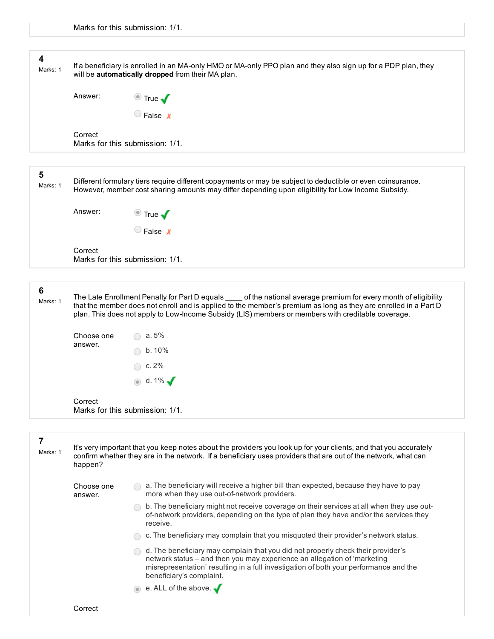| 4<br>Marks: 1              | If a beneficiary is enrolled in an MA-only HMO or MA-only PPO plan and they also sign up for a PDP plan, they<br>will be automatically dropped from their MA plan.                                                                                                                                                                          |                                     |  |  |
|----------------------------|---------------------------------------------------------------------------------------------------------------------------------------------------------------------------------------------------------------------------------------------------------------------------------------------------------------------------------------------|-------------------------------------|--|--|
|                            | Answer:                                                                                                                                                                                                                                                                                                                                     |                                     |  |  |
|                            |                                                                                                                                                                                                                                                                                                                                             | ■ True ✔                            |  |  |
|                            | Correct                                                                                                                                                                                                                                                                                                                                     | Marks for this submission: 1/1.     |  |  |
|                            |                                                                                                                                                                                                                                                                                                                                             |                                     |  |  |
| $5\phantom{1}$<br>Marks: 1 | Different formulary tiers require different copayments or may be subject to deductible or even coinsurance.<br>However, member cost sharing amounts may differ depending upon eligibility for Low Income Subsidy.                                                                                                                           |                                     |  |  |
|                            | Answer:                                                                                                                                                                                                                                                                                                                                     | <u><sup>■</sup></u> True $\sqrt{ }$ |  |  |
|                            |                                                                                                                                                                                                                                                                                                                                             | False x                             |  |  |
|                            | Correct                                                                                                                                                                                                                                                                                                                                     | Marks for this submission: 1/1.     |  |  |
| 6<br>Marks: 1              | The Late Enrollment Penalty for Part D equals _____ of the national average premium for every month of eligibility<br>that the member does not enroll and is applied to the member's premium as long as they are enrolled in a Part D<br>plan. This does not apply to Low-Income Subsidy (LIS) members or members with creditable coverage. |                                     |  |  |
|                            |                                                                                                                                                                                                                                                                                                                                             |                                     |  |  |

|                     | $\bigcirc$ c. 2% |
|---------------------|------------------|
|                     | $\bullet$ d. 1%  |
| Correct<br>$M = -1$ |                  |

Marks for this submission: 1/1.

| Marks: | It's very important that you keep notes about the providers you look up for your clients, and that you accurately<br>confirm whether they are in the network. If a beneficiary uses providers that are out of the network, what can |
|--------|-------------------------------------------------------------------------------------------------------------------------------------------------------------------------------------------------------------------------------------|
|        | happen?                                                                                                                                                                                                                             |

Choose one answer.

 $\bigcirc$  a. The beneficiary will receive a higher bill than expected, because they have to pay more when they use out-of-network providers.

- b. The beneficiary might not receive coverage on their services at all when they use outof-network providers, depending on the type of plan they have and/or the services they receive.
- $\bigcirc$  c. The beneficiary may complain that you misquoted their provider's network status.
- $\bigcirc$  d. The beneficiary may complain that you did not properly check their provider's network status – and then you may experience an allegation of 'marketing misrepresentation' resulting in a full investigation of both your performance and the beneficiary's complaint.

 $\bullet$  e. ALL of the above.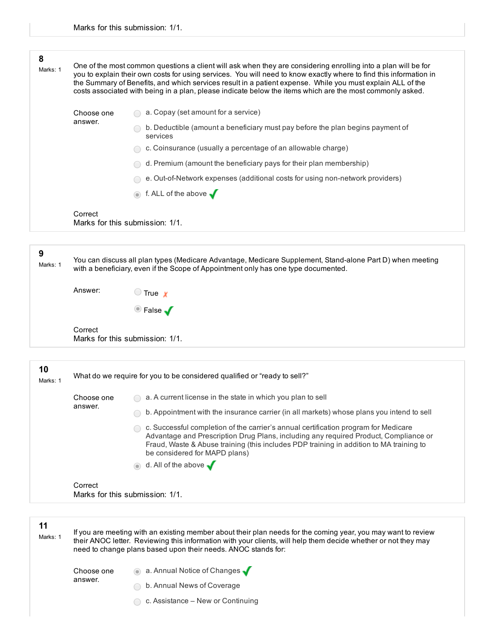| 8<br>Marks: 1                                                                               | One of the most common questions a client will ask when they are considering enrolling into a plan will be for<br>you to explain their own costs for using services. You will need to know exactly where to find this information in<br>the Summary of Benefits, and which services result in a patient expense. While you must explain ALL of the<br>costs associated with being in a plan, please indicate below the items which are the most commonly asked. |                                                                                                                                                                                                                                                                                                         |  |  |  |  |
|---------------------------------------------------------------------------------------------|-----------------------------------------------------------------------------------------------------------------------------------------------------------------------------------------------------------------------------------------------------------------------------------------------------------------------------------------------------------------------------------------------------------------------------------------------------------------|---------------------------------------------------------------------------------------------------------------------------------------------------------------------------------------------------------------------------------------------------------------------------------------------------------|--|--|--|--|
|                                                                                             | Choose one                                                                                                                                                                                                                                                                                                                                                                                                                                                      | a. Copay (set amount for a service)                                                                                                                                                                                                                                                                     |  |  |  |  |
|                                                                                             | answer.                                                                                                                                                                                                                                                                                                                                                                                                                                                         | b. Deductible (amount a beneficiary must pay before the plan begins payment of<br>services                                                                                                                                                                                                              |  |  |  |  |
|                                                                                             |                                                                                                                                                                                                                                                                                                                                                                                                                                                                 | c. Coinsurance (usually a percentage of an allowable charge)                                                                                                                                                                                                                                            |  |  |  |  |
|                                                                                             |                                                                                                                                                                                                                                                                                                                                                                                                                                                                 | d. Premium (amount the beneficiary pays for their plan membership)                                                                                                                                                                                                                                      |  |  |  |  |
|                                                                                             |                                                                                                                                                                                                                                                                                                                                                                                                                                                                 | e. Out-of-Network expenses (additional costs for using non-network providers)                                                                                                                                                                                                                           |  |  |  |  |
|                                                                                             |                                                                                                                                                                                                                                                                                                                                                                                                                                                                 | f. ALL of the above $\sqrt{ }$                                                                                                                                                                                                                                                                          |  |  |  |  |
|                                                                                             | Correct                                                                                                                                                                                                                                                                                                                                                                                                                                                         | Marks for this submission: 1/1.                                                                                                                                                                                                                                                                         |  |  |  |  |
| 9                                                                                           |                                                                                                                                                                                                                                                                                                                                                                                                                                                                 |                                                                                                                                                                                                                                                                                                         |  |  |  |  |
| Marks: 1                                                                                    |                                                                                                                                                                                                                                                                                                                                                                                                                                                                 | You can discuss all plan types (Medicare Advantage, Medicare Supplement, Stand-alone Part D) when meeting<br>with a beneficiary, even if the Scope of Appointment only has one type documented.                                                                                                         |  |  |  |  |
|                                                                                             | Answer:<br>$\bigcirc$ True $\boldsymbol{x}$                                                                                                                                                                                                                                                                                                                                                                                                                     |                                                                                                                                                                                                                                                                                                         |  |  |  |  |
|                                                                                             |                                                                                                                                                                                                                                                                                                                                                                                                                                                                 | <sup>●</sup> False √                                                                                                                                                                                                                                                                                    |  |  |  |  |
|                                                                                             | Correct<br>Marks for this submission: 1/1.                                                                                                                                                                                                                                                                                                                                                                                                                      |                                                                                                                                                                                                                                                                                                         |  |  |  |  |
| 10<br>What do we require for you to be considered qualified or "ready to sell?"<br>Marks: 1 |                                                                                                                                                                                                                                                                                                                                                                                                                                                                 |                                                                                                                                                                                                                                                                                                         |  |  |  |  |
|                                                                                             | Choose one                                                                                                                                                                                                                                                                                                                                                                                                                                                      | a. A current license in the state in which you plan to sell                                                                                                                                                                                                                                             |  |  |  |  |
|                                                                                             | answer.                                                                                                                                                                                                                                                                                                                                                                                                                                                         | b. Appointment with the insurance carrier (in all markets) whose plans you intend to sell                                                                                                                                                                                                               |  |  |  |  |
|                                                                                             |                                                                                                                                                                                                                                                                                                                                                                                                                                                                 | c. Successful completion of the carrier's annual certification program for Medicare<br>Advantage and Prescription Drug Plans, including any required Product, Compliance or<br>Fraud, Waste & Abuse training (this includes PDP training in addition to MA training to<br>be considered for MAPD plans) |  |  |  |  |
|                                                                                             |                                                                                                                                                                                                                                                                                                                                                                                                                                                                 | d. All of the above $\sqrt$                                                                                                                                                                                                                                                                             |  |  |  |  |
|                                                                                             | Correct                                                                                                                                                                                                                                                                                                                                                                                                                                                         | Marks for this submission: 1/1.                                                                                                                                                                                                                                                                         |  |  |  |  |

| 11<br>Marks: 1 | If you are meeting with an existing member about their plan needs for the coming year, you may want to review<br>their ANOC letter. Reviewing this information with your clients, will help them decide whether or not they may<br>need to change plans based upon their needs. ANOC stands for: |                                   |  |
|----------------|--------------------------------------------------------------------------------------------------------------------------------------------------------------------------------------------------------------------------------------------------------------------------------------------------|-----------------------------------|--|
|                | Choose one<br>answer.                                                                                                                                                                                                                                                                            | a. Annual Notice of Changes       |  |
|                |                                                                                                                                                                                                                                                                                                  | ◯ b. Annual News of Coverage      |  |
|                |                                                                                                                                                                                                                                                                                                  | c. Assistance - New or Continuing |  |